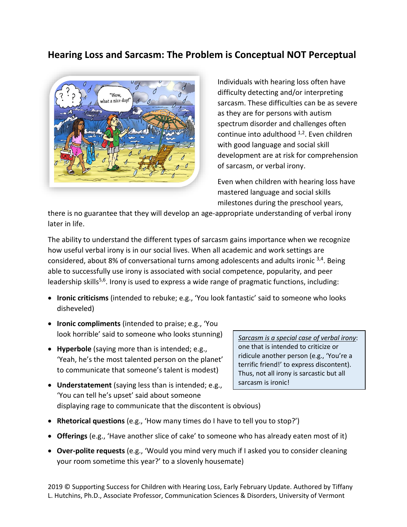# **Hearing Loss and Sarcasm: The Problem is Conceptual NOT Perceptual**



Individuals with hearing loss often have difficulty detecting and/or interpreting sarcasm. These difficulties can be as severe as they are for persons with autism spectrum disorder and challenges often continue into adulthood  $1,2$ . Even children with good language and social skill development are at risk for comprehension of sarcasm, or verbal irony.

Even when children with hearing loss have mastered language and social skills milestones during the preschool years,

there is no guarantee that they will develop an age-appropriate understanding of verbal irony later in life.

The ability to understand the different types of sarcasm gains importance when we recognize how useful verbal irony is in our social lives. When all academic and work settings are considered, about 8% of conversational turns among adolescents and adults ironic <sup>3,4</sup>. Being able to successfully use irony is associated with social competence, popularity, and peer leadership skills<sup>5,6</sup>. Irony is used to express a wide range of pragmatic functions, including:

- **Ironic criticisms** (intended to rebuke; e.g., 'You look fantastic' said to someone who looks disheveled)
- **Ironic compliments** (intended to praise; e.g., 'You look horrible' said to someone who looks stunning)
- **Hyperbole** (saying more than is intended; e.g., 'Yeah, he's the most talented person on the planet' to communicate that someone's talent is modest)
- **Understatement** (saying less than is intended; e.g., 'You can tell he's upset' said about someone displaying rage to communicate that the discontent is obvious)
- **Rhetorical questions** (e.g., 'How many times do I have to tell you to stop?')
- **Offerings** (e.g., 'Have another slice of cake' to someone who has already eaten most of it)
- **Over-polite requests** (e.g., 'Would you mind very much if I asked you to consider cleaning your room sometime this year?' to a slovenly housemate)

2019 © Supporting Success for Children with Hearing Loss, Early February Update. Authored by Tiffany L. Hutchins, Ph.D., Associate Professor, Communication Sciences & Disorders, University of Vermont

*Sarcasm is a special case of verbal irony*: one that is intended to criticize or ridicule another person (e.g., 'You're a terrific friend!' to express discontent). Thus, not all irony is sarcastic but all sarcasm is ironic!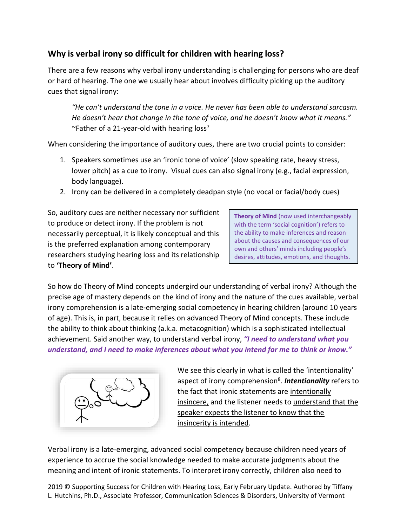## **Why is verbal irony so difficult for children with hearing loss?**

There are a few reasons why verbal irony understanding is challenging for persons who are deaf or hard of hearing. The one we usually hear about involves difficulty picking up the auditory cues that signal irony:

"He can't understand the tone in a voice. He never has been able to understand sarcasm. *He doesn't hear that change in the tone of voice, and he doesn't know what it means."*   $\sim$ Father of a 21-year-old with hearing loss<sup>7</sup>

When considering the importance of auditory cues, there are two crucial points to consider:

- 1. Speakers sometimes use an 'ironic tone of voice' (slow speaking rate, heavy stress, lower pitch) as a cue to irony. Visual cues can also signal irony (e.g., facial expression, body language).
- 2. Irony can be delivered in a completely deadpan style (no vocal or facial/body cues)

So, auditory cues are neither necessary nor sufficient to produce or detect irony. If the problem is not necessarily perceptual, it is likely conceptual and this is the preferred explanation among contemporary researchers studying hearing loss and its relationship to **'Theory of Mind'**.

**Theory of Mind** (now used interchangeably with the term 'social cognition') refers to the ability to make inferences and reason about the causes and consequences of our own and others' minds including people's desires, attitudes, emotions, and thoughts.

So how do Theory of Mind concepts undergird our understanding of verbal irony? Although the precise age of mastery depends on the kind of irony and the nature of the cues available, verbal irony comprehension is a late-emerging social competency in hearing children (around 10 years of age). This is, in part, because it relies on advanced Theory of Mind concepts. These include the ability to think about thinking (a.k.a. metacognition) which is a sophisticated intellectual achievement. Said another way, to understand verbal irony, *"I need to understand what you understand, and I need to make inferences about what you intend for me to think or know."*



We see this clearly in what is called the 'intentionality' aspect of irony comprehension<sup>8</sup>. **Intentionality** refers to the fact that ironic statements are intentionally insincere, and the listener needs to understand that the speaker expects the listener to know that the insincerity is intended.

Verbal irony is a late-emerging, advanced social competency because children need years of experience to accrue the social knowledge needed to make accurate judgments about the meaning and intent of ironic statements. To interpret irony correctly, children also need to

2019 © Supporting Success for Children with Hearing Loss, Early February Update. Authored by Tiffany L. Hutchins, Ph.D., Associate Professor, Communication Sciences & Disorders, University of Vermont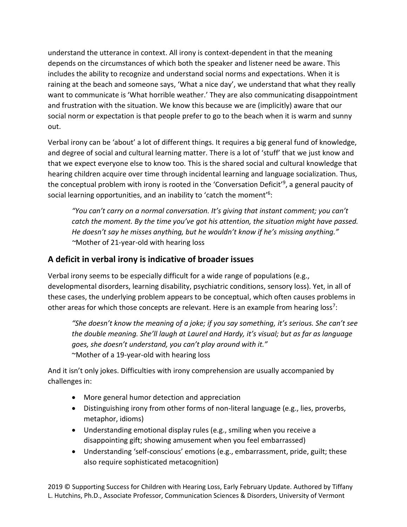understand the utterance in context. All irony is context-dependent in that the meaning depends on the circumstances of which both the speaker and listener need be aware. This includes the ability to recognize and understand social norms and expectations. When it is raining at the beach and someone says, 'What a nice day', we understand that what they really want to communicate is 'What horrible weather.' They are also communicating disappointment and frustration with the situation. We know this because we are (implicitly) aware that our social norm or expectation is that people prefer to go to the beach when it is warm and sunny out.

Verbal irony can be 'about' a lot of different things. It requires a big general fund of knowledge, and degree of social and cultural learning matter. There is a lot of 'stuff' that we just know and that we expect everyone else to know too. This is the shared social and cultural knowledge that hearing children acquire over time through incidental learning and language socialization. Thus, the conceptual problem with irony is rooted in the 'Conversation Deficit'<sup>9</sup>, a general paucity of social learning opportunities, and an inability to 'catch the moment'<sup>6</sup>:

*"You can't carry on a normal conversation. It's giving that instant comment; you can't catch the moment. By the time you've got his attention, the situation might have passed. He doesn't say he misses anything, but he wouldn't know if he's missing anything." ~*Mother of 21-year-old with hearing loss

### **A deficit in verbal irony is indicative of broader issues**

Verbal irony seems to be especially difficult for a wide range of populations (e.g., developmental disorders, learning disability, psychiatric conditions, sensory loss). Yet, in all of these cases, the underlying problem appears to be conceptual, which often causes problems in other areas for which those concepts are relevant. Here is an example from hearing loss<sup>7</sup>:

*"She doesn't know the meaning of a joke; if you say something, it's serious. She can't see the double meaning. She'll laugh at Laurel and Hardy, it's visual; but as far as language goes, she doesn't understand, you can't play around with it."* ~Mother of a 19-year-old with hearing loss

And it isn't only jokes. Difficulties with irony comprehension are usually accompanied by challenges in:

- More general humor detection and appreciation
- Distinguishing irony from other forms of non-literal language (e.g., lies, proverbs, metaphor, idioms)
- Understanding emotional display rules (e.g., smiling when you receive a disappointing gift; showing amusement when you feel embarrassed)
- Understanding 'self-conscious' emotions (e.g., embarrassment, pride, guilt; these also require sophisticated metacognition)

2019 © Supporting Success for Children with Hearing Loss, Early February Update. Authored by Tiffany L. Hutchins, Ph.D., Associate Professor, Communication Sciences & Disorders, University of Vermont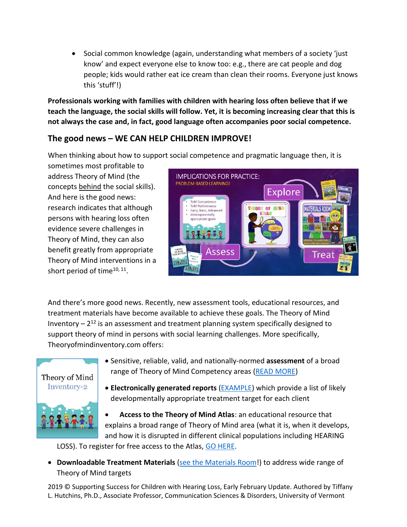• Social common knowledge (again, understanding what members of a society 'just know' and expect everyone else to know too: e.g., there are cat people and dog people; kids would rather eat ice cream than clean their rooms. Everyone just knows this 'stuff'!)

**Professionals working with families with children with hearing loss often believe that if we teach the language, the social skills will follow. Yet, it is becoming increasing clear that this is not always the case and, in fact, good language often accompanies poor social competence.**

## **The good news – WE CAN HELP CHILDREN IMPROVE!**

When thinking about how to support social competence and pragmatic language then, it is

sometimes most profitable to address Theory of Mind (the concepts behind the social skills). And here is the good news: research indicates that although persons with hearing loss often evidence severe challenges in Theory of Mind, they can also benefit greatly from appropriate Theory of Mind interventions in a short period of time<sup>10, 11</sup>.



And there's more good news. Recently, new assessment tools, educational resources, and treatment materials have become available to achieve these goals. The Theory of Mind Inventory  $-2^{12}$  is an assessment and treatment planning system specifically designed to support theory of mind in persons with social learning challenges. More specifically, Theoryofmindinventory.com offers:



- Sensitive, reliable, valid, and nationally-normed **assessment** of a broad range of Theory of Mind Competency areas [\(READ MORE\)](http://www.theoryofmindinventory.com/wp-content/uploads/2011/09/Using-the-theory-of-mind-inventory-to-detect-a-broad-range-of-theory-of-mind-challenges-in-children-with-hearing-loss-a-pilot-study.pdf)
- **Electronically generated reports** [\(EXAMPLE\)](https://www.theoryofmindinventory.com/professionals/assessment-report/?code=UIKPqMWE) which provide a list of likely developmentally appropriate treatment target for each client

• **Access to the Theory of Mind Atlas**: an educational resource that explains a broad range of Theory of Mind area (what it is, when it develops, and how it is disrupted in different clinical populations including HEARING

LOSS). To register for free access to the Atlas, [GO HERE.](https://www.theoryofmindinventory.com/theory-of-mind-atlas/)

• **Downloadable Treatment Materials** (see the [Materials Room!](https://www.theoryofmindinventory.com/product/theory-of-mind-inventory/)) to address wide range of Theory of Mind targets

2019 © Supporting Success for Children with Hearing Loss, Early February Update. Authored by Tiffany L. Hutchins, Ph.D., Associate Professor, Communication Sciences & Disorders, University of Vermont